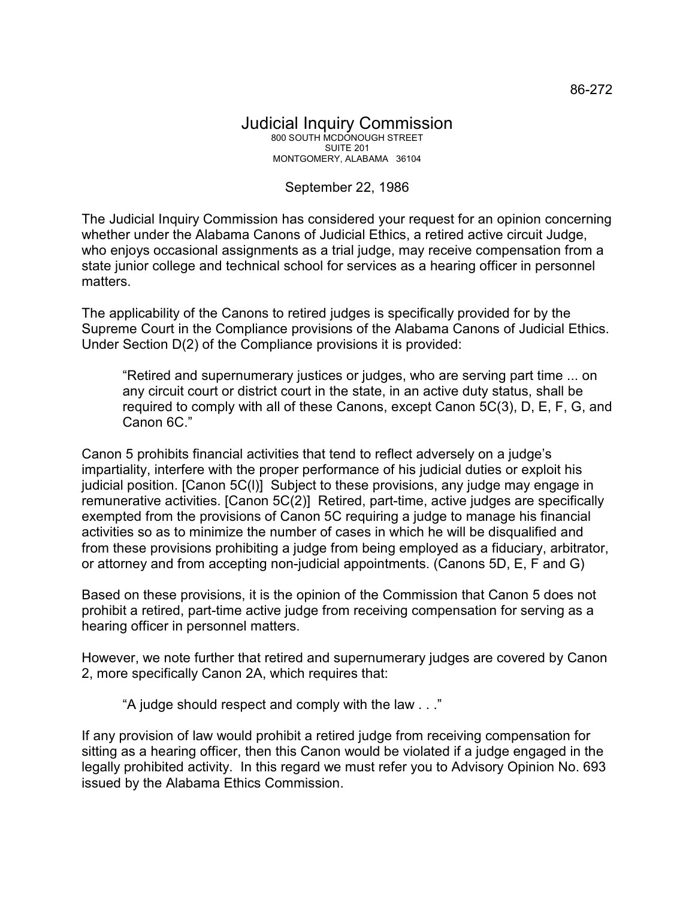## September 22, 1986

The Judicial Inquiry Commission has considered your request for an opinion concerning whether under the Alabama Canons of Judicial Ethics, a retired active circuit Judge, who enjoys occasional assignments as a trial judge, may receive compensation from a state junior college and technical school for services as a hearing officer in personnel matters.

The applicability of the Canons to retired judges is specifically provided for by the Supreme Court in the Compliance provisions of the Alabama Canons of Judicial Ethics. Under Section D(2) of the Compliance provisions it is provided:

"Retired and supernumerary justices or judges, who are serving part time ... on any circuit court or district court in the state, in an active duty status, shall be required to comply with all of these Canons, except Canon 5C(3), D, E, F, G, and Canon 6C."

Canon 5 prohibits financial activities that tend to reflect adversely on a judge's impartiality, interfere with the proper performance of his judicial duties or exploit his judicial position. [Canon 5C(l)] Subject to these provisions, any judge may engage in remunerative activities. [Canon 5C(2)] Retired, part-time, active judges are specifically exempted from the provisions of Canon 5C requiring a judge to manage his financial activities so as to minimize the number of cases in which he will be disqualified and from these provisions prohibiting a judge from being employed as a fiduciary, arbitrator, or attorney and from accepting non-judicial appointments. (Canons 5D, E, F and G)

Based on these provisions, it is the opinion of the Commission that Canon 5 does not prohibit a retired, part-time active judge from receiving compensation for serving as a hearing officer in personnel matters.

However, we note further that retired and supernumerary judges are covered by Canon 2, more specifically Canon 2A, which requires that:

"A judge should respect and comply with the law . . ."

If any provision of law would prohibit a retired judge from receiving compensation for sitting as a hearing officer, then this Canon would be violated if a judge engaged in the legally prohibited activity. In this regard we must refer you to Advisory Opinion No. 693 issued by the Alabama Ethics Commission.